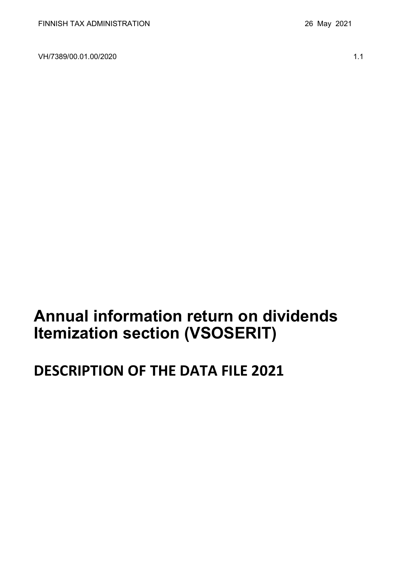VH/7389/00.01.00/2020 1.1

# **Annual information return on dividends Itemization section (VSOSERIT)**

# **DESCRIPTION OF THE DATA FILE 2021**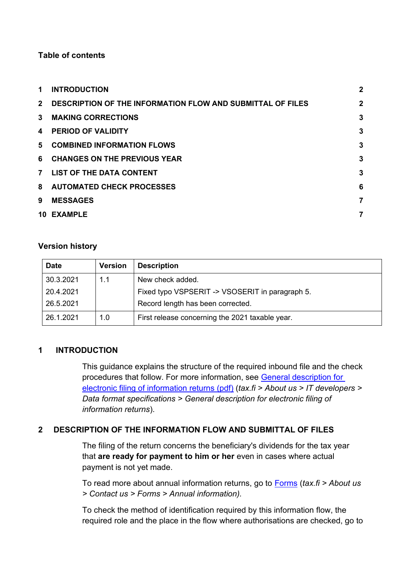#### **Table of contents**

| 1.             | <b>INTRODUCTION</b>                                               | $\overline{2}$ |
|----------------|-------------------------------------------------------------------|----------------|
| $2^{\circ}$    | <b>DESCRIPTION OF THE INFORMATION FLOW AND SUBMITTAL OF FILES</b> | $\overline{2}$ |
| $\mathbf{3}$   | <b>MAKING CORRECTIONS</b>                                         | $\mathbf{3}$   |
| 4              | <b>PERIOD OF VALIDITY</b>                                         | $\mathbf{3}$   |
| 5.             | <b>COMBINED INFORMATION FLOWS</b>                                 | 3              |
| 6              | <b>CHANGES ON THE PREVIOUS YEAR</b>                               | 3              |
| $\overline{7}$ | <b>LIST OF THE DATA CONTENT</b>                                   | 3              |
|                | 8 AUTOMATED CHECK PROCESSES                                       | 6              |
| 9              | <b>MESSAGES</b>                                                   | 7              |
|                | <b>10 EXAMPLE</b>                                                 | 7              |

#### **Version history**

| <b>Date</b> | <b>Version</b> | <b>Description</b>                              |
|-------------|----------------|-------------------------------------------------|
| 30.3.2021   | 1.1            | New check added.                                |
| 20.4.2021   |                | Fixed typo VSPSERIT -> VSOSERIT in paragraph 5. |
| 26.5.2021   |                | Record length has been corrected.               |
| 26.1.2021   | 1.0            | First release concerning the 2021 taxable year. |

#### <span id="page-1-0"></span>**1 INTRODUCTION**

This guidance explains the structure of the required inbound file and the check procedures that follow. For more information, see [General description for](https://www.vero.fi/globalassets/tietoa-verohallinnosta/ohjelmistokehittajille/s%C3%A4hk%C3%B6isen-ilmoittamisen-yleiskuvaus2.pdf)  [electronic filing of information returns \(pdf\)](https://www.vero.fi/globalassets/tietoa-verohallinnosta/ohjelmistokehittajille/s%C3%A4hk%C3%B6isen-ilmoittamisen-yleiskuvaus2.pdf) (*tax.fi > About us > IT developers > Data format specifications > General description for electronic filing of information returns*).

### <span id="page-1-1"></span>**2 DESCRIPTION OF THE INFORMATION FLOW AND SUBMITTAL OF FILES**

The filing of the return concerns the beneficiary's dividends for the tax year that **are ready for payment to him or her** even in cases where actual payment is not yet made.

To read more about annual information returns, go to [Forms](https://www.vero.fi/en/About-us/contact-us/forms/) (*tax.fi > About us > Contact us > Forms > Annual information).*

To check the method of identification required by this information flow, the required role and the place in the flow where authorisations are checked, go to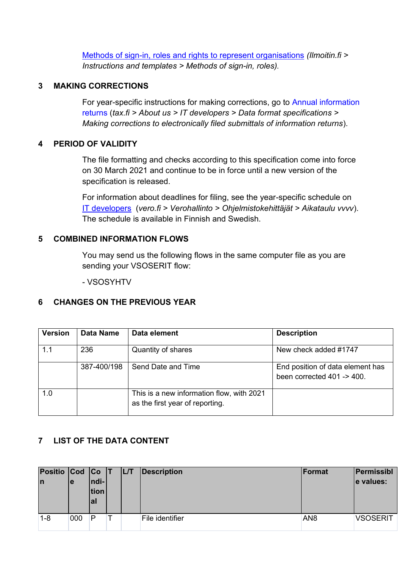[Methods of sign-in, roles and rights to represent organisations](https://www.ilmoitin.fi/webtamo/sivut/IlmoituslajiRoolit?kieli=en&tv=VSOSERIT) *[\(Ilmoitin.fi >](https://www.ilmoitin.fi/webtamo/sivut/IlmoituslajiRoolit?tv=VSY02C)  [Instructions and templates > Methods of sign-in, roles\)](https://www.ilmoitin.fi/webtamo/sivut/IlmoituslajiRoolit?tv=VSY02C).*

#### <span id="page-2-0"></span>**3 MAKING CORRECTIONS**

For year-specific instructions for making corrections, go to [Annual information](https://www.vero.fi/en/About-us/it_developer/data-format-specifications/annual_information_returns__instruction/)  [returns](https://www.vero.fi/en/About-us/it_developer/data-format-specifications/annual_information_returns__instruction/) (*tax.fi > About us > IT developers > Data format specifications > Making corrections to electronically filed submittals of information returns*).

#### <span id="page-2-1"></span>**4 PERIOD OF VALIDITY**

The file formatting and checks according to this specification come into force on 30 March 2021 and continue to be in force until a new version of the specification is released.

For information about deadlines for filing, see the year-specific schedule on [IT developers](https://www.vero.fi/tietoa-verohallinnosta/kehittaja/) (*vero.fi > Verohallinto > Ohjelmistokehittäjät > Aikataulu vvvv*). The schedule is available in Finnish and Swedish.

#### <span id="page-2-2"></span>**5 COMBINED INFORMATION FLOWS**

You may send us the following flows in the same computer file as you are sending your VSOSERIT flow:

- VSOSYHTV

#### <span id="page-2-3"></span>**6 CHANGES ON THE PREVIOUS YEAR**

| <b>Version</b> | Data Name   | Data element                                                                 | <b>Description</b>                                             |
|----------------|-------------|------------------------------------------------------------------------------|----------------------------------------------------------------|
| 1.1            | 236         | Quantity of shares                                                           | New check added #1747                                          |
|                | 387-400/198 | Send Date and Time                                                           | End position of data element has<br>been corrected 401 -> 400. |
| 1.0            |             | This is a new information flow, with 2021<br>as the first year of reporting. |                                                                |

### <span id="page-2-4"></span>**7 LIST OF THE DATA CONTENT**

| Positio Cod Co T<br>In | le  | $ ndi- $<br>tion<br>al | <b>IL/T</b> | Description     | Format          | Permissibl<br>e values: |
|------------------------|-----|------------------------|-------------|-----------------|-----------------|-------------------------|
| $1 - 8$                | 000 | P                      |             | File identifier | AN <sub>8</sub> | <b>VSOSERIT</b>         |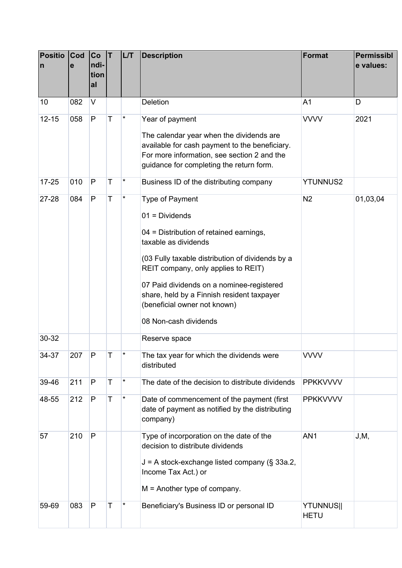| <b>Positio</b><br>$\mathsf{n}$ | <b>Cod</b><br>e | Co<br>ndi-<br>tion<br>al | T | LT       | <b>Description</b>                                                                                                                                                                                                                                                                                                                                    | <b>Format</b>                   | <b>Permissibl</b><br>e values: |
|--------------------------------|-----------------|--------------------------|---|----------|-------------------------------------------------------------------------------------------------------------------------------------------------------------------------------------------------------------------------------------------------------------------------------------------------------------------------------------------------------|---------------------------------|--------------------------------|
| 10                             | 082             | $\vee$                   |   |          | Deletion                                                                                                                                                                                                                                                                                                                                              | A <sub>1</sub>                  | D                              |
| $12 - 15$                      | 058             | $\mathsf{P}$             | Т | $\star$  | Year of payment<br>The calendar year when the dividends are<br>available for cash payment to the beneficiary.<br>For more information, see section 2 and the<br>guidance for completing the return form.                                                                                                                                              | <b>VVVV</b>                     | 2021                           |
| $17 - 25$                      | 010             | $\mathsf{P}$             | Т | $^\star$ | Business ID of the distributing company                                                                                                                                                                                                                                                                                                               | <b>YTUNNUS2</b>                 |                                |
| 27-28                          | 084             | ${\sf P}$                | T | $\star$  | Type of Payment<br>$01 = Dividends$<br>04 = Distribution of retained earnings,<br>taxable as dividends<br>(03 Fully taxable distribution of dividends by a<br>REIT company, only applies to REIT)<br>07 Paid dividends on a nominee-registered<br>share, held by a Finnish resident taxpayer<br>(beneficial owner not known)<br>08 Non-cash dividends | N <sub>2</sub>                  | 01,03,04                       |
| 30-32                          |                 |                          |   |          | Reserve space                                                                                                                                                                                                                                                                                                                                         |                                 |                                |
| 34-37                          | 207             | P                        |   |          | The tax year for which the dividends were<br>distributed                                                                                                                                                                                                                                                                                              | <b>VVVV</b>                     |                                |
| 39-46                          | 211             | $\mathsf{P}$             | Т | $^\star$ | The date of the decision to distribute dividends                                                                                                                                                                                                                                                                                                      | <b>PPKKVVVV</b>                 |                                |
| 48-55                          | 212             | P                        | Т | $\star$  | Date of commencement of the payment (first<br>date of payment as notified by the distributing<br>company)                                                                                                                                                                                                                                             | <b>PPKKVVVV</b>                 |                                |
| 57                             | 210             | P                        |   |          | Type of incorporation on the date of the<br>decision to distribute dividends<br>$J = A$ stock-exchange listed company (§ 33a.2,<br>Income Tax Act.) or<br>$M =$ Another type of company.                                                                                                                                                              | AN <sub>1</sub>                 | J, M,                          |
| 59-69                          | 083             | $\mathsf{P}$             | Т |          | Beneficiary's Business ID or personal ID                                                                                                                                                                                                                                                                                                              | <b>YTUNNUS  </b><br><b>HETU</b> |                                |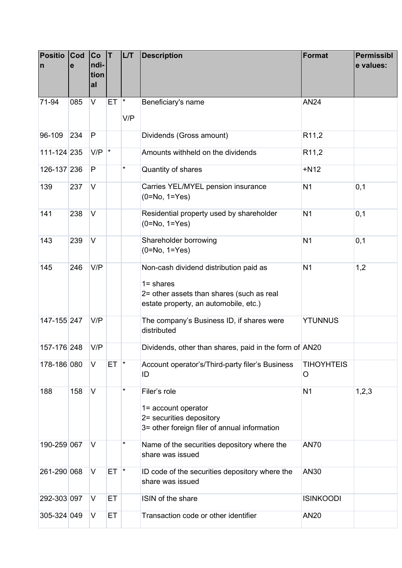| <b>Positio</b><br>$\mathsf{n}$ | Cod<br>е | Co<br>ndi-<br>tion<br>al | İΤ              | <b>L/T</b> | <b>Description</b>                                                                                                                           | Format                 | <b>Permissibl</b><br>e values: |
|--------------------------------|----------|--------------------------|-----------------|------------|----------------------------------------------------------------------------------------------------------------------------------------------|------------------------|--------------------------------|
| 71-94                          | 085      | V                        | ET <sup>*</sup> | V/P        | Beneficiary's name                                                                                                                           | <b>AN24</b>            |                                |
| 96-109                         | 234      | P                        |                 |            | Dividends (Gross amount)                                                                                                                     | R <sub>11,2</sub>      |                                |
| 111-124 235                    |          | $V/P$ <sup>*</sup>       |                 |            | Amounts withheld on the dividends                                                                                                            | R <sub>11,2</sub>      |                                |
| 126-137 236                    |          | P                        |                 | $\star$    | Quantity of shares                                                                                                                           | $+N12$                 |                                |
| 139                            | 237      | V                        |                 |            | Carries YEL/MYEL pension insurance<br>$(0=No, 1=Yes)$                                                                                        | N <sub>1</sub>         | 0,1                            |
| 141                            | 238      | $\vee$                   |                 |            | Residential property used by shareholder<br>$(0=No, 1=Yes)$                                                                                  | N <sub>1</sub>         | 0,1                            |
| 143                            | 239      | $\vee$                   |                 |            | Shareholder borrowing<br>$(0=No, 1=Yes)$                                                                                                     | N <sub>1</sub>         | 0,1                            |
| 145                            | 246      | V/P                      |                 |            | Non-cash dividend distribution paid as<br>$1 =$ shares<br>2= other assets than shares (such as real<br>estate property, an automobile, etc.) | N <sub>1</sub>         | 1,2                            |
| 147-155 247                    |          | V/P                      |                 |            | The company's Business ID, if shares were<br>distributed                                                                                     | <b>YTUNNUS</b>         |                                |
| 157-176 248                    |          | V/P                      |                 |            | Dividends, other than shares, paid in the form of AN20                                                                                       |                        |                                |
| 178-186 080                    |          | $\vee$                   | $ET$ $*$        |            | Account operator's/Third-party filer's Business<br>ID                                                                                        | <b>TIHOYHTEIS</b><br>O |                                |
| 188                            | 158      | $\vee$                   |                 | *          | Filer's role<br>1= account operator<br>2= securities depository<br>3= other foreign filer of annual information                              | N <sub>1</sub>         | 1, 2, 3                        |
| 190-259 067                    |          | V                        |                 | *          | Name of the securities depository where the<br>share was issued                                                                              | <b>AN70</b>            |                                |
| 261-290 068                    |          | $\vee$                   | $ET$ $*$        |            | ID code of the securities depository where the<br>share was issued                                                                           | <b>AN30</b>            |                                |
| 292-303 097                    |          | $\vee$                   | ET              |            | ISIN of the share                                                                                                                            | <b>ISINKOODI</b>       |                                |
| 305-324 049                    |          | V                        | ET              |            | Transaction code or other identifier                                                                                                         | <b>AN20</b>            |                                |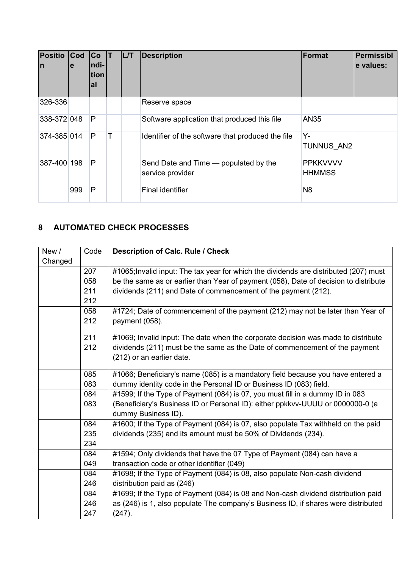| <b>Positio</b><br>$\mathsf{I}$ | $ $ Cod<br>le | Co<br>ndi-<br>tion<br><b>al</b> |   | <b>L/T</b> | <b>Description</b>                                        | Format                           | Permissibl<br>e values: |
|--------------------------------|---------------|---------------------------------|---|------------|-----------------------------------------------------------|----------------------------------|-------------------------|
| 326-336                        |               |                                 |   |            | Reserve space                                             |                                  |                         |
| 338-372 048                    |               | P                               |   |            | Software application that produced this file              | AN35                             |                         |
| 374-385 014                    |               | P                               | Т |            | Identifier of the software that produced the file         | Y-<br><b>TUNNUS AN2</b>          |                         |
| 387-400 198                    |               | $\mathsf{P}$                    |   |            | Send Date and Time — populated by the<br>service provider | <b>PPKKVVVV</b><br><b>HHMMSS</b> |                         |
|                                | 999           | P                               |   |            | <b>Final identifier</b>                                   | N <sub>8</sub>                   |                         |

## <span id="page-5-0"></span>**8 AUTOMATED CHECK PROCESSES**

| New/    | Code             | <b>Description of Calc. Rule / Check</b>                                              |
|---------|------------------|---------------------------------------------------------------------------------------|
| Changed |                  |                                                                                       |
|         | 207              | #1065; Invalid input: The tax year for which the dividends are distributed (207) must |
|         | 058              | be the same as or earlier than Year of payment (058), Date of decision to distribute  |
|         | 211              | dividends (211) and Date of commencement of the payment (212).                        |
|         | 212              |                                                                                       |
|         | 058              | #1724; Date of commencement of the payment (212) may not be later than Year of        |
|         | 212              | payment (058).                                                                        |
|         | $\overline{211}$ | #1069; Invalid input: The date when the corporate decision was made to distribute     |
|         | 212              | dividends (211) must be the same as the Date of commencement of the payment           |
|         |                  | (212) or an earlier date.                                                             |
|         | 085              | #1066; Beneficiary's name (085) is a mandatory field because you have entered a       |
|         | 083              | dummy identity code in the Personal ID or Business ID (083) field.                    |
|         | 084              | #1599; If the Type of Payment (084) is 07, you must fill in a dummy ID in 083         |
|         | 083              | (Beneficiary's Business ID or Personal ID): either ppkkvv-UUUU or 0000000-0 (a        |
|         |                  | dummy Business ID).                                                                   |
|         | 084              | #1600; If the Type of Payment (084) is 07, also populate Tax withheld on the paid     |
|         | 235              | dividends (235) and its amount must be 50% of Dividends (234).                        |
|         | 234              |                                                                                       |
|         | 084              | #1594; Only dividends that have the 07 Type of Payment (084) can have a               |
|         | 049              | transaction code or other identifier (049)                                            |
|         | 084              | #1698; If the Type of Payment (084) is 08, also populate Non-cash dividend            |
|         | 246              | distribution paid as (246)                                                            |
|         | 084              | #1699; If the Type of Payment (084) is 08 and Non-cash dividend distribution paid     |
|         | 246              | as (246) is 1, also populate The company's Business ID, if shares were distributed    |
|         | 247              | (247).                                                                                |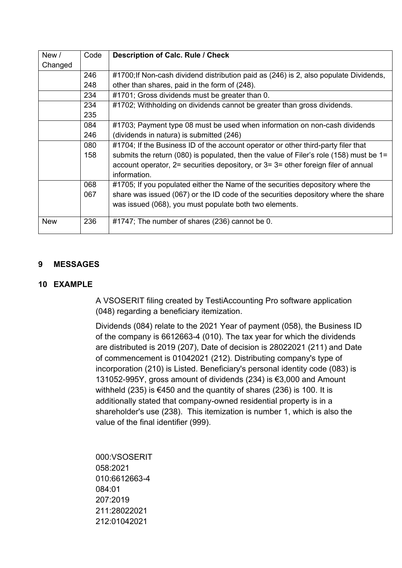| New /      | Code | <b>Description of Calc. Rule / Check</b>                                                    |
|------------|------|---------------------------------------------------------------------------------------------|
| Changed    |      |                                                                                             |
|            | 246  | #1700; If Non-cash dividend distribution paid as (246) is 2, also populate Dividends,       |
|            | 248  | other than shares, paid in the form of (248).                                               |
|            | 234  | #1701; Gross dividends must be greater than 0.                                              |
|            | 234  | #1702; Withholding on dividends cannot be greater than gross dividends.                     |
|            | 235  |                                                                                             |
|            | 084  | #1703; Payment type 08 must be used when information on non-cash dividends                  |
|            | 246  | (dividends in natura) is submitted (246)                                                    |
|            | 080  | #1704; If the Business ID of the account operator or other third-party filer that           |
|            | 158  | submits the return (080) is populated, then the value of Filer's role (158) must be $1=$    |
|            |      | account operator, $2$ = securities depository, or $3$ = $3$ = other foreign filer of annual |
|            |      | information.                                                                                |
|            | 068  | #1705; If you populated either the Name of the securities depository where the              |
|            | 067  | share was issued (067) or the ID code of the securities depository where the share          |
|            |      | was issued (068), you must populate both two elements.                                      |
| <b>New</b> | 236  | #1747; The number of shares (236) cannot be 0.                                              |

#### <span id="page-6-0"></span>**9 MESSAGES**

#### <span id="page-6-1"></span>**10 EXAMPLE**

A VSOSERIT filing created by TestiAccounting Pro software application (048) regarding a beneficiary itemization.

Dividends (084) relate to the 2021 Year of payment (058), the Business ID of the company is 6612663-4 (010). The tax year for which the dividends are distributed is 2019 (207), Date of decision is 28022021 (211) and Date of commencement is 01042021 (212). Distributing company's type of incorporation (210) is Listed. Beneficiary's personal identity code (083) is 131052-995Y, gross amount of dividends (234) is €3,000 and Amount withheld (235) is €450 and the quantity of shares (236) is 100. It is additionally stated that company-owned residential property is in a shareholder's use (238). This itemization is number 1, which is also the value of the final identifier (999).

000:VSOSERIT 058:2021 010:6612663-4 084:01 207:2019 211:28022021 212:01042021